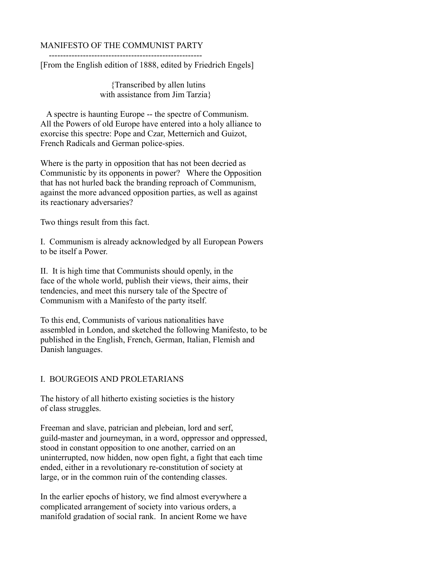## MANIFESTO OF THE COMMUNIST PARTY

 ------------------------------------------------------ [From the English edition of 1888, edited by Friedrich Engels]

> {Transcribed by allen lutins with assistance from Jim Tarzia}

 A spectre is haunting Europe -- the spectre of Communism. All the Powers of old Europe have entered into a holy alliance to exorcise this spectre: Pope and Czar, Metternich and Guizot, French Radicals and German police-spies.

Where is the party in opposition that has not been decried as Communistic by its opponents in power? Where the Opposition that has not hurled back the branding reproach of Communism, against the more advanced opposition parties, as well as against its reactionary adversaries?

Two things result from this fact.

I. Communism is already acknowledged by all European Powers to be itself a Power.

II. It is high time that Communists should openly, in the face of the whole world, publish their views, their aims, their tendencies, and meet this nursery tale of the Spectre of Communism with a Manifesto of the party itself.

To this end, Communists of various nationalities have assembled in London, and sketched the following Manifesto, to be published in the English, French, German, Italian, Flemish and Danish languages.

## I. BOURGEOIS AND PROLETARIANS

The history of all hitherto existing societies is the history of class struggles.

Freeman and slave, patrician and plebeian, lord and serf, guild-master and journeyman, in a word, oppressor and oppressed, stood in constant opposition to one another, carried on an uninterrupted, now hidden, now open fight, a fight that each time ended, either in a revolutionary re-constitution of society at large, or in the common ruin of the contending classes.

In the earlier epochs of history, we find almost everywhere a complicated arrangement of society into various orders, a manifold gradation of social rank. In ancient Rome we have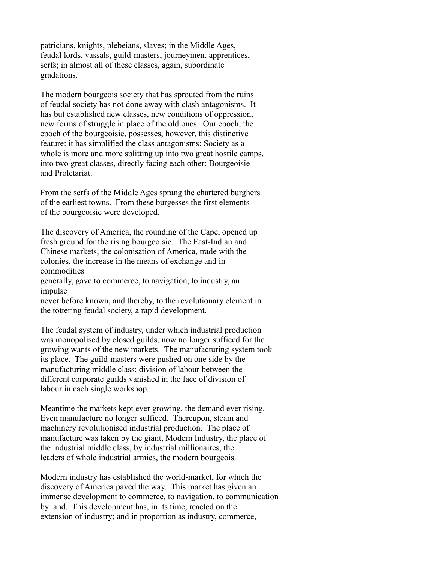patricians, knights, plebeians, slaves; in the Middle Ages, feudal lords, vassals, guild-masters, journeymen, apprentices, serfs; in almost all of these classes, again, subordinate gradations.

The modern bourgeois society that has sprouted from the ruins of feudal society has not done away with clash antagonisms. It has but established new classes, new conditions of oppression, new forms of struggle in place of the old ones. Our epoch, the epoch of the bourgeoisie, possesses, however, this distinctive feature: it has simplified the class antagonisms: Society as a whole is more and more splitting up into two great hostile camps, into two great classes, directly facing each other: Bourgeoisie and Proletariat.

From the serfs of the Middle Ages sprang the chartered burghers of the earliest towns. From these burgesses the first elements of the bourgeoisie were developed.

The discovery of America, the rounding of the Cape, opened up fresh ground for the rising bourgeoisie. The East-Indian and Chinese markets, the colonisation of America, trade with the colonies, the increase in the means of exchange and in commodities

generally, gave to commerce, to navigation, to industry, an impulse

never before known, and thereby, to the revolutionary element in the tottering feudal society, a rapid development.

The feudal system of industry, under which industrial production was monopolised by closed guilds, now no longer sufficed for the growing wants of the new markets. The manufacturing system took its place. The guild-masters were pushed on one side by the manufacturing middle class; division of labour between the different corporate guilds vanished in the face of division of labour in each single workshop.

Meantime the markets kept ever growing, the demand ever rising. Even manufacture no longer sufficed. Thereupon, steam and machinery revolutionised industrial production. The place of manufacture was taken by the giant, Modern Industry, the place of the industrial middle class, by industrial millionaires, the leaders of whole industrial armies, the modern bourgeois.

Modern industry has established the world-market, for which the discovery of America paved the way. This market has given an immense development to commerce, to navigation, to communication by land. This development has, in its time, reacted on the extension of industry; and in proportion as industry, commerce,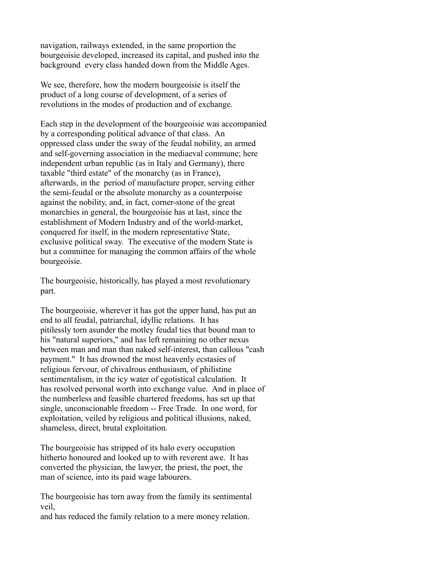navigation, railways extended, in the same proportion the bourgeoisie developed, increased its capital, and pushed into the background every class handed down from the Middle Ages.

We see, therefore, how the modern bourgeoisie is itself the product of a long course of development, of a series of revolutions in the modes of production and of exchange.

Each step in the development of the bourgeoisie was accompanied by a corresponding political advance of that class. An oppressed class under the sway of the feudal nobility, an armed and self-governing association in the mediaeval commune; here independent urban republic (as in Italy and Germany), there taxable "third estate" of the monarchy (as in France), afterwards, in the period of manufacture proper, serving either the semi-feudal or the absolute monarchy as a counterpoise against the nobility, and, in fact, corner-stone of the great monarchies in general, the bourgeoisie has at last, since the establishment of Modern Industry and of the world-market, conquered for itself, in the modern representative State, exclusive political sway. The executive of the modern State is but a committee for managing the common affairs of the whole bourgeoisie.

The bourgeoisie, historically, has played a most revolutionary part.

The bourgeoisie, wherever it has got the upper hand, has put an end to all feudal, patriarchal, idyllic relations. It has pitilessly torn asunder the motley feudal ties that bound man to his "natural superiors," and has left remaining no other nexus between man and man than naked self-interest, than callous "cash payment." It has drowned the most heavenly ecstasies of religious fervour, of chivalrous enthusiasm, of philistine sentimentalism, in the icy water of egotistical calculation. It has resolved personal worth into exchange value. And in place of the numberless and feasible chartered freedoms, has set up that single, unconscionable freedom -- Free Trade. In one word, for exploitation, veiled by religious and political illusions, naked, shameless, direct, brutal exploitation.

The bourgeoisie has stripped of its halo every occupation hitherto honoured and looked up to with reverent awe. It has converted the physician, the lawyer, the priest, the poet, the man of science, into its paid wage labourers.

The bourgeoisie has torn away from the family its sentimental veil,

and has reduced the family relation to a mere money relation.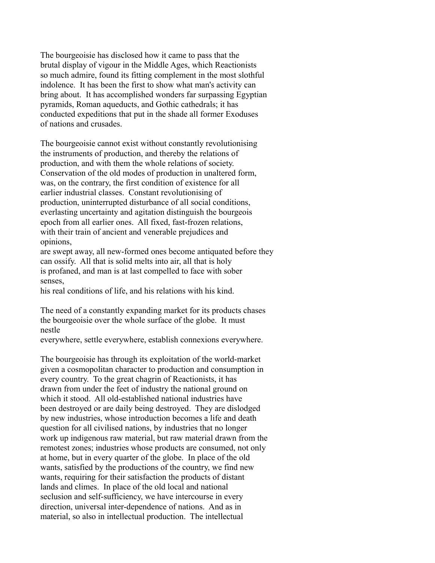The bourgeoisie has disclosed how it came to pass that the brutal display of vigour in the Middle Ages, which Reactionists so much admire, found its fitting complement in the most slothful indolence. It has been the first to show what man's activity can bring about. It has accomplished wonders far surpassing Egyptian pyramids, Roman aqueducts, and Gothic cathedrals; it has conducted expeditions that put in the shade all former Exoduses of nations and crusades.

The bourgeoisie cannot exist without constantly revolutionising the instruments of production, and thereby the relations of production, and with them the whole relations of society. Conservation of the old modes of production in unaltered form, was, on the contrary, the first condition of existence for all earlier industrial classes. Constant revolutionising of production, uninterrupted disturbance of all social conditions, everlasting uncertainty and agitation distinguish the bourgeois epoch from all earlier ones. All fixed, fast-frozen relations, with their train of ancient and venerable prejudices and opinions,

are swept away, all new-formed ones become antiquated before they can ossify. All that is solid melts into air, all that is holy is profaned, and man is at last compelled to face with sober senses,

his real conditions of life, and his relations with his kind.

The need of a constantly expanding market for its products chases the bourgeoisie over the whole surface of the globe. It must nestle

everywhere, settle everywhere, establish connexions everywhere.

The bourgeoisie has through its exploitation of the world-market given a cosmopolitan character to production and consumption in every country. To the great chagrin of Reactionists, it has drawn from under the feet of industry the national ground on which it stood. All old-established national industries have been destroyed or are daily being destroyed. They are dislodged by new industries, whose introduction becomes a life and death question for all civilised nations, by industries that no longer work up indigenous raw material, but raw material drawn from the remotest zones; industries whose products are consumed, not only at home, but in every quarter of the globe. In place of the old wants, satisfied by the productions of the country, we find new wants, requiring for their satisfaction the products of distant lands and climes. In place of the old local and national seclusion and self-sufficiency, we have intercourse in every direction, universal inter-dependence of nations. And as in material, so also in intellectual production. The intellectual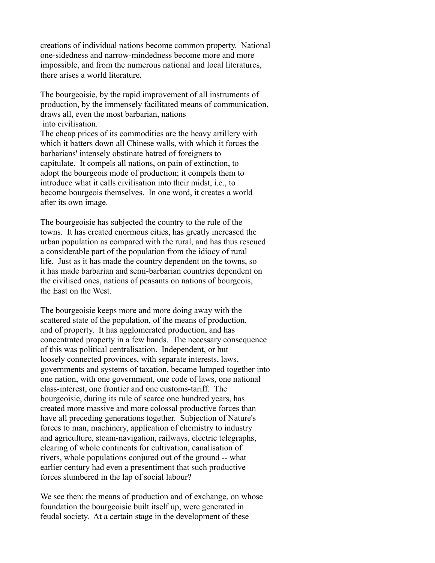creations of individual nations become common property. National one-sidedness and narrow-mindedness become more and more impossible, and from the numerous national and local literatures, there arises a world literature.

The bourgeoisie, by the rapid improvement of all instruments of production, by the immensely facilitated means of communication, draws all, even the most barbarian, nations into civilisation.

The cheap prices of its commodities are the heavy artillery with which it batters down all Chinese walls, with which it forces the barbarians' intensely obstinate hatred of foreigners to capitulate. It compels all nations, on pain of extinction, to adopt the bourgeois mode of production; it compels them to introduce what it calls civilisation into their midst, i.e., to become bourgeois themselves. In one word, it creates a world after its own image.

The bourgeoisie has subjected the country to the rule of the towns. It has created enormous cities, has greatly increased the urban population as compared with the rural, and has thus rescued a considerable part of the population from the idiocy of rural life. Just as it has made the country dependent on the towns, so it has made barbarian and semi-barbarian countries dependent on the civilised ones, nations of peasants on nations of bourgeois, the East on the West.

The bourgeoisie keeps more and more doing away with the scattered state of the population, of the means of production, and of property. It has agglomerated production, and has concentrated property in a few hands. The necessary consequence of this was political centralisation. Independent, or but loosely connected provinces, with separate interests, laws, governments and systems of taxation, became lumped together into one nation, with one government, one code of laws, one national class-interest, one frontier and one customs-tariff. The bourgeoisie, during its rule of scarce one hundred years, has created more massive and more colossal productive forces than have all preceding generations together. Subjection of Nature's forces to man, machinery, application of chemistry to industry and agriculture, steam-navigation, railways, electric telegraphs, clearing of whole continents for cultivation, canalisation of rivers, whole populations conjured out of the ground -- what earlier century had even a presentiment that such productive forces slumbered in the lap of social labour?

We see then: the means of production and of exchange, on whose foundation the bourgeoisie built itself up, were generated in feudal society. At a certain stage in the development of these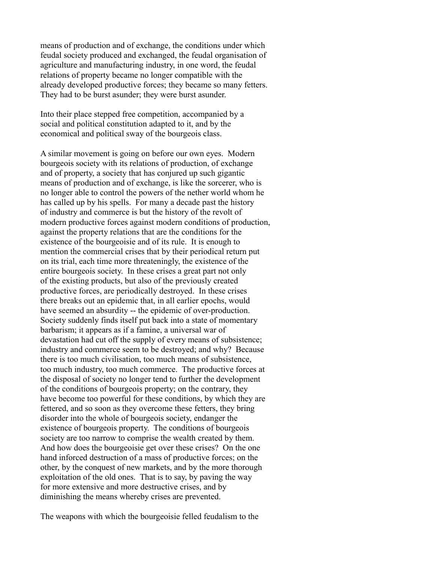means of production and of exchange, the conditions under which feudal society produced and exchanged, the feudal organisation of agriculture and manufacturing industry, in one word, the feudal relations of property became no longer compatible with the already developed productive forces; they became so many fetters. They had to be burst asunder; they were burst asunder.

Into their place stepped free competition, accompanied by a social and political constitution adapted to it, and by the economical and political sway of the bourgeois class.

A similar movement is going on before our own eyes. Modern bourgeois society with its relations of production, of exchange and of property, a society that has conjured up such gigantic means of production and of exchange, is like the sorcerer, who is no longer able to control the powers of the nether world whom he has called up by his spells. For many a decade past the history of industry and commerce is but the history of the revolt of modern productive forces against modern conditions of production, against the property relations that are the conditions for the existence of the bourgeoisie and of its rule. It is enough to mention the commercial crises that by their periodical return put on its trial, each time more threateningly, the existence of the entire bourgeois society. In these crises a great part not only of the existing products, but also of the previously created productive forces, are periodically destroyed. In these crises there breaks out an epidemic that, in all earlier epochs, would have seemed an absurdity -- the epidemic of over-production. Society suddenly finds itself put back into a state of momentary barbarism; it appears as if a famine, a universal war of devastation had cut off the supply of every means of subsistence; industry and commerce seem to be destroyed; and why? Because there is too much civilisation, too much means of subsistence, too much industry, too much commerce. The productive forces at the disposal of society no longer tend to further the development of the conditions of bourgeois property; on the contrary, they have become too powerful for these conditions, by which they are fettered, and so soon as they overcome these fetters, they bring disorder into the whole of bourgeois society, endanger the existence of bourgeois property. The conditions of bourgeois society are too narrow to comprise the wealth created by them. And how does the bourgeoisie get over these crises? On the one hand inforced destruction of a mass of productive forces; on the other, by the conquest of new markets, and by the more thorough exploitation of the old ones. That is to say, by paving the way for more extensive and more destructive crises, and by diminishing the means whereby crises are prevented.

The weapons with which the bourgeoisie felled feudalism to the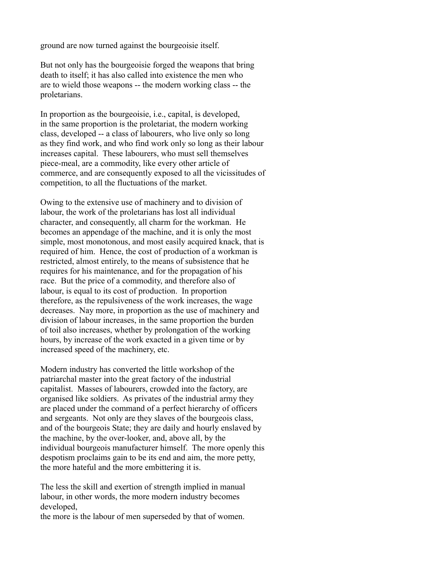ground are now turned against the bourgeoisie itself.

But not only has the bourgeoisie forged the weapons that bring death to itself; it has also called into existence the men who are to wield those weapons -- the modern working class -- the proletarians.

In proportion as the bourgeoisie, i.e., capital, is developed, in the same proportion is the proletariat, the modern working class, developed -- a class of labourers, who live only so long as they find work, and who find work only so long as their labour increases capital. These labourers, who must sell themselves piece-meal, are a commodity, like every other article of commerce, and are consequently exposed to all the vicissitudes of competition, to all the fluctuations of the market.

Owing to the extensive use of machinery and to division of labour, the work of the proletarians has lost all individual character, and consequently, all charm for the workman. He becomes an appendage of the machine, and it is only the most simple, most monotonous, and most easily acquired knack, that is required of him. Hence, the cost of production of a workman is restricted, almost entirely, to the means of subsistence that he requires for his maintenance, and for the propagation of his race. But the price of a commodity, and therefore also of labour, is equal to its cost of production. In proportion therefore, as the repulsiveness of the work increases, the wage decreases. Nay more, in proportion as the use of machinery and division of labour increases, in the same proportion the burden of toil also increases, whether by prolongation of the working hours, by increase of the work exacted in a given time or by increased speed of the machinery, etc.

Modern industry has converted the little workshop of the patriarchal master into the great factory of the industrial capitalist. Masses of labourers, crowded into the factory, are organised like soldiers. As privates of the industrial army they are placed under the command of a perfect hierarchy of officers and sergeants. Not only are they slaves of the bourgeois class, and of the bourgeois State; they are daily and hourly enslaved by the machine, by the over-looker, and, above all, by the individual bourgeois manufacturer himself. The more openly this despotism proclaims gain to be its end and aim, the more petty, the more hateful and the more embittering it is.

The less the skill and exertion of strength implied in manual labour, in other words, the more modern industry becomes developed,

the more is the labour of men superseded by that of women.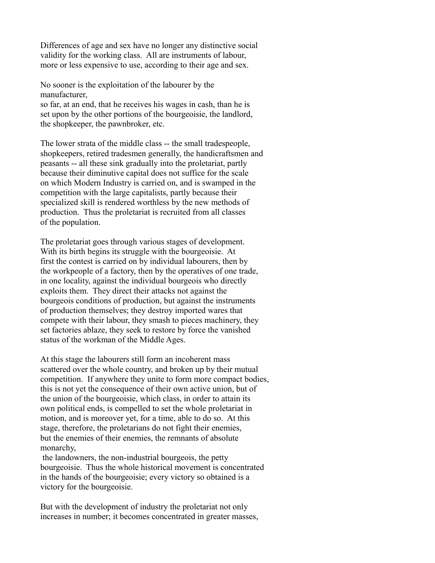Differences of age and sex have no longer any distinctive social validity for the working class. All are instruments of labour, more or less expensive to use, according to their age and sex.

No sooner is the exploitation of the labourer by the manufacturer,

so far, at an end, that he receives his wages in cash, than he is set upon by the other portions of the bourgeoisie, the landlord, the shopkeeper, the pawnbroker, etc.

The lower strata of the middle class -- the small tradespeople, shopkeepers, retired tradesmen generally, the handicraftsmen and peasants -- all these sink gradually into the proletariat, partly because their diminutive capital does not suffice for the scale on which Modern Industry is carried on, and is swamped in the competition with the large capitalists, partly because their specialized skill is rendered worthless by the new methods of production. Thus the proletariat is recruited from all classes of the population.

The proletariat goes through various stages of development. With its birth begins its struggle with the bourgeoisie. At first the contest is carried on by individual labourers, then by the workpeople of a factory, then by the operatives of one trade, in one locality, against the individual bourgeois who directly exploits them. They direct their attacks not against the bourgeois conditions of production, but against the instruments of production themselves; they destroy imported wares that compete with their labour, they smash to pieces machinery, they set factories ablaze, they seek to restore by force the vanished status of the workman of the Middle Ages.

At this stage the labourers still form an incoherent mass scattered over the whole country, and broken up by their mutual competition. If anywhere they unite to form more compact bodies, this is not yet the consequence of their own active union, but of the union of the bourgeoisie, which class, in order to attain its own political ends, is compelled to set the whole proletariat in motion, and is moreover yet, for a time, able to do so. At this stage, therefore, the proletarians do not fight their enemies, but the enemies of their enemies, the remnants of absolute monarchy,

 the landowners, the non-industrial bourgeois, the petty bourgeoisie. Thus the whole historical movement is concentrated in the hands of the bourgeoisie; every victory so obtained is a victory for the bourgeoisie.

But with the development of industry the proletariat not only increases in number; it becomes concentrated in greater masses,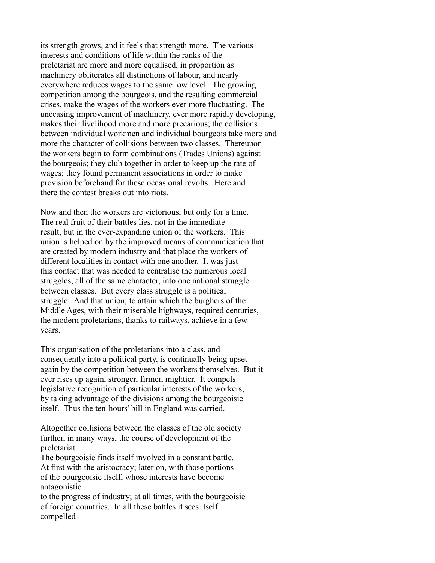its strength grows, and it feels that strength more. The various interests and conditions of life within the ranks of the proletariat are more and more equalised, in proportion as machinery obliterates all distinctions of labour, and nearly everywhere reduces wages to the same low level. The growing competition among the bourgeois, and the resulting commercial crises, make the wages of the workers ever more fluctuating. The unceasing improvement of machinery, ever more rapidly developing, makes their livelihood more and more precarious; the collisions between individual workmen and individual bourgeois take more and more the character of collisions between two classes. Thereupon the workers begin to form combinations (Trades Unions) against the bourgeois; they club together in order to keep up the rate of wages; they found permanent associations in order to make provision beforehand for these occasional revolts. Here and there the contest breaks out into riots.

Now and then the workers are victorious, but only for a time. The real fruit of their battles lies, not in the immediate result, but in the ever-expanding union of the workers. This union is helped on by the improved means of communication that are created by modern industry and that place the workers of different localities in contact with one another. It was just this contact that was needed to centralise the numerous local struggles, all of the same character, into one national struggle between classes. But every class struggle is a political struggle. And that union, to attain which the burghers of the Middle Ages, with their miserable highways, required centuries, the modern proletarians, thanks to railways, achieve in a few years.

This organisation of the proletarians into a class, and consequently into a political party, is continually being upset again by the competition between the workers themselves. But it ever rises up again, stronger, firmer, mightier. It compels legislative recognition of particular interests of the workers, by taking advantage of the divisions among the bourgeoisie itself. Thus the ten-hours' bill in England was carried.

Altogether collisions between the classes of the old society further, in many ways, the course of development of the proletariat.

The bourgeoisie finds itself involved in a constant battle. At first with the aristocracy; later on, with those portions of the bourgeoisie itself, whose interests have become antagonistic

to the progress of industry; at all times, with the bourgeoisie of foreign countries. In all these battles it sees itself compelled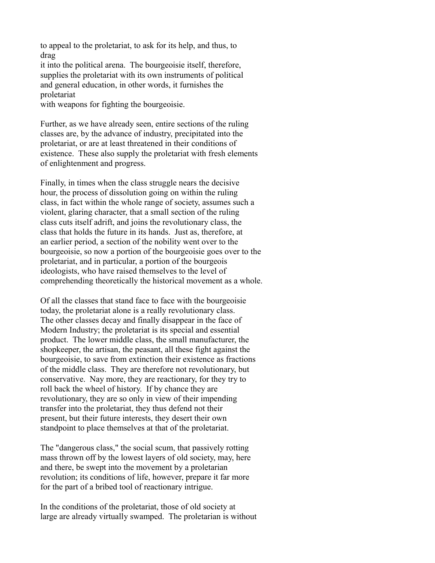to appeal to the proletariat, to ask for its help, and thus, to drag

it into the political arena. The bourgeoisie itself, therefore, supplies the proletariat with its own instruments of political and general education, in other words, it furnishes the proletariat

with weapons for fighting the bourgeoisie.

Further, as we have already seen, entire sections of the ruling classes are, by the advance of industry, precipitated into the proletariat, or are at least threatened in their conditions of existence. These also supply the proletariat with fresh elements of enlightenment and progress.

Finally, in times when the class struggle nears the decisive hour, the process of dissolution going on within the ruling class, in fact within the whole range of society, assumes such a violent, glaring character, that a small section of the ruling class cuts itself adrift, and joins the revolutionary class, the class that holds the future in its hands. Just as, therefore, at an earlier period, a section of the nobility went over to the bourgeoisie, so now a portion of the bourgeoisie goes over to the proletariat, and in particular, a portion of the bourgeois ideologists, who have raised themselves to the level of comprehending theoretically the historical movement as a whole.

Of all the classes that stand face to face with the bourgeoisie today, the proletariat alone is a really revolutionary class. The other classes decay and finally disappear in the face of Modern Industry; the proletariat is its special and essential product. The lower middle class, the small manufacturer, the shopkeeper, the artisan, the peasant, all these fight against the bourgeoisie, to save from extinction their existence as fractions of the middle class. They are therefore not revolutionary, but conservative. Nay more, they are reactionary, for they try to roll back the wheel of history. If by chance they are revolutionary, they are so only in view of their impending transfer into the proletariat, they thus defend not their present, but their future interests, they desert their own standpoint to place themselves at that of the proletariat.

The "dangerous class," the social scum, that passively rotting mass thrown off by the lowest layers of old society, may, here and there, be swept into the movement by a proletarian revolution; its conditions of life, however, prepare it far more for the part of a bribed tool of reactionary intrigue.

In the conditions of the proletariat, those of old society at large are already virtually swamped. The proletarian is without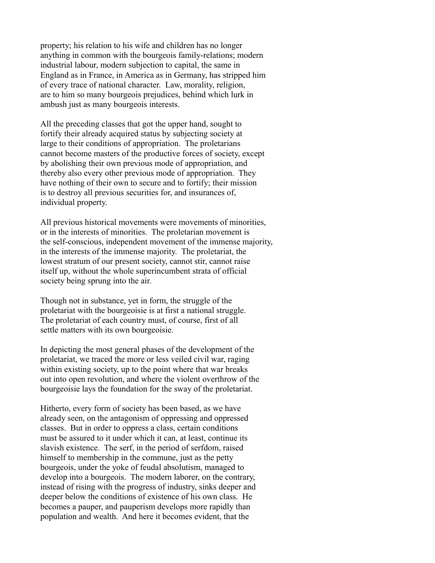property; his relation to his wife and children has no longer anything in common with the bourgeois family-relations; modern industrial labour, modern subjection to capital, the same in England as in France, in America as in Germany, has stripped him of every trace of national character. Law, morality, religion, are to him so many bourgeois prejudices, behind which lurk in ambush just as many bourgeois interests.

All the preceding classes that got the upper hand, sought to fortify their already acquired status by subjecting society at large to their conditions of appropriation. The proletarians cannot become masters of the productive forces of society, except by abolishing their own previous mode of appropriation, and thereby also every other previous mode of appropriation. They have nothing of their own to secure and to fortify; their mission is to destroy all previous securities for, and insurances of, individual property.

All previous historical movements were movements of minorities, or in the interests of minorities. The proletarian movement is the self-conscious, independent movement of the immense majority, in the interests of the immense majority. The proletariat, the lowest stratum of our present society, cannot stir, cannot raise itself up, without the whole superincumbent strata of official society being sprung into the air.

Though not in substance, yet in form, the struggle of the proletariat with the bourgeoisie is at first a national struggle. The proletariat of each country must, of course, first of all settle matters with its own bourgeoisie.

In depicting the most general phases of the development of the proletariat, we traced the more or less veiled civil war, raging within existing society, up to the point where that war breaks out into open revolution, and where the violent overthrow of the bourgeoisie lays the foundation for the sway of the proletariat.

Hitherto, every form of society has been based, as we have already seen, on the antagonism of oppressing and oppressed classes. But in order to oppress a class, certain conditions must be assured to it under which it can, at least, continue its slavish existence. The serf, in the period of serfdom, raised himself to membership in the commune, just as the petty bourgeois, under the yoke of feudal absolutism, managed to develop into a bourgeois. The modern laborer, on the contrary, instead of rising with the progress of industry, sinks deeper and deeper below the conditions of existence of his own class. He becomes a pauper, and pauperism develops more rapidly than population and wealth. And here it becomes evident, that the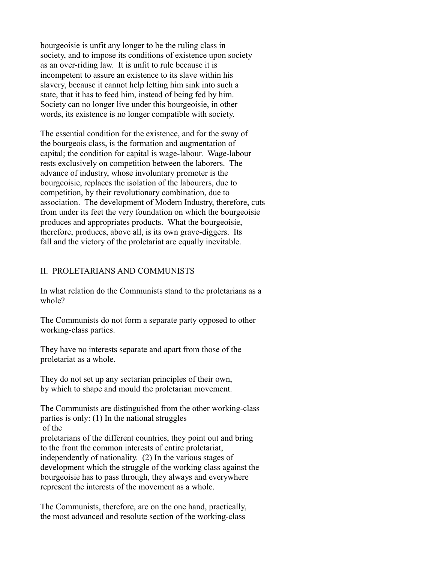bourgeoisie is unfit any longer to be the ruling class in society, and to impose its conditions of existence upon society as an over-riding law. It is unfit to rule because it is incompetent to assure an existence to its slave within his slavery, because it cannot help letting him sink into such a state, that it has to feed him, instead of being fed by him. Society can no longer live under this bourgeoisie, in other words, its existence is no longer compatible with society.

The essential condition for the existence, and for the sway of the bourgeois class, is the formation and augmentation of capital; the condition for capital is wage-labour. Wage-labour rests exclusively on competition between the laborers. The advance of industry, whose involuntary promoter is the bourgeoisie, replaces the isolation of the labourers, due to competition, by their revolutionary combination, due to association. The development of Modern Industry, therefore, cuts from under its feet the very foundation on which the bourgeoisie produces and appropriates products. What the bourgeoisie, therefore, produces, above all, is its own grave-diggers. Its fall and the victory of the proletariat are equally inevitable.

## II. PROLETARIANS AND COMMUNISTS

In what relation do the Communists stand to the proletarians as a whole?

The Communists do not form a separate party opposed to other working-class parties.

They have no interests separate and apart from those of the proletariat as a whole.

They do not set up any sectarian principles of their own, by which to shape and mould the proletarian movement.

The Communists are distinguished from the other working-class parties is only: (1) In the national struggles of the

proletarians of the different countries, they point out and bring to the front the common interests of entire proletariat, independently of nationality. (2) In the various stages of development which the struggle of the working class against the bourgeoisie has to pass through, they always and everywhere represent the interests of the movement as a whole.

The Communists, therefore, are on the one hand, practically, the most advanced and resolute section of the working-class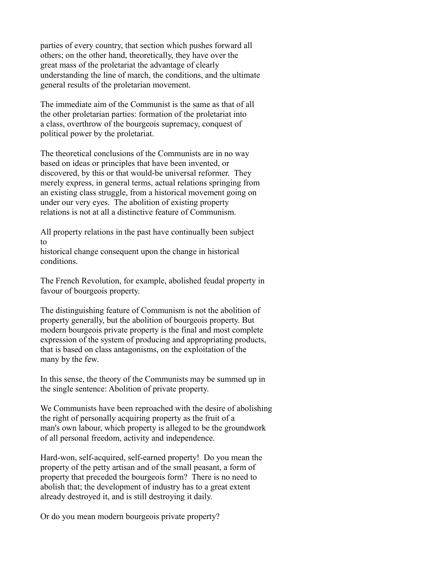parties of every country, that section which pushes forward all others; on the other hand, theoretically, they have over the great mass of the proletariat the advantage of clearly understanding the line of march, the conditions, and the ultimate general results of the proletarian movement.

The immediate aim of the Communist is the same as that of all the other proletarian parties: formation of the proletariat into a class, overthrow of the bourgeois supremacy, conquest of political power by the proletariat.

The theoretical conclusions of the Communists are in no way based on ideas or principles that have been invented, or discovered, by this or that would-be universal reformer. They merely express, in general terms, actual relations springing from an existing class struggle, from a historical movement going on under our very eyes. The abolition of existing property relations is not at all a distinctive feature of Communism.

All property relations in the past have continually been subject to

historical change consequent upon the change in historical conditions.

The French Revolution, for example, abolished feudal property in favour of bourgeois property.

The distinguishing feature of Communism is not the abolition of property generally, but the abolition of bourgeois property. But modern bourgeois private property is the final and most complete expression of the system of producing and appropriating products, that is based on class antagonisms, on the exploitation of the many by the few.

In this sense, the theory of the Communists may be summed up in the single sentence: Abolition of private property.

We Communists have been reproached with the desire of abolishing the right of personally acquiring property as the fruit of a man's own labour, which property is alleged to be the groundwork of all personal freedom, activity and independence.

Hard-won, self-acquired, self-earned property! Do you mean the property of the petty artisan and of the small peasant, a form of property that preceded the bourgeois form? There is no need to abolish that; the development of industry has to a great extent already destroyed it, and is still destroying it daily.

Or do you mean modern bourgeois private property?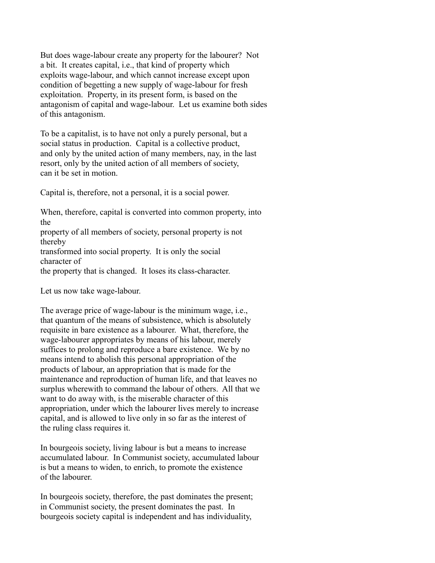But does wage-labour create any property for the labourer? Not a bit. It creates capital, i.e., that kind of property which exploits wage-labour, and which cannot increase except upon condition of begetting a new supply of wage-labour for fresh exploitation. Property, in its present form, is based on the antagonism of capital and wage-labour. Let us examine both sides of this antagonism.

To be a capitalist, is to have not only a purely personal, but a social status in production. Capital is a collective product, and only by the united action of many members, nay, in the last resort, only by the united action of all members of society, can it be set in motion.

Capital is, therefore, not a personal, it is a social power.

When, therefore, capital is converted into common property, into the property of all members of society, personal property is not thereby transformed into social property. It is only the social character of

the property that is changed. It loses its class-character.

Let us now take wage-labour.

The average price of wage-labour is the minimum wage, i.e., that quantum of the means of subsistence, which is absolutely requisite in bare existence as a labourer. What, therefore, the wage-labourer appropriates by means of his labour, merely suffices to prolong and reproduce a bare existence. We by no means intend to abolish this personal appropriation of the products of labour, an appropriation that is made for the maintenance and reproduction of human life, and that leaves no surplus wherewith to command the labour of others. All that we want to do away with, is the miserable character of this appropriation, under which the labourer lives merely to increase capital, and is allowed to live only in so far as the interest of the ruling class requires it.

In bourgeois society, living labour is but a means to increase accumulated labour. In Communist society, accumulated labour is but a means to widen, to enrich, to promote the existence of the labourer.

In bourgeois society, therefore, the past dominates the present; in Communist society, the present dominates the past. In bourgeois society capital is independent and has individuality,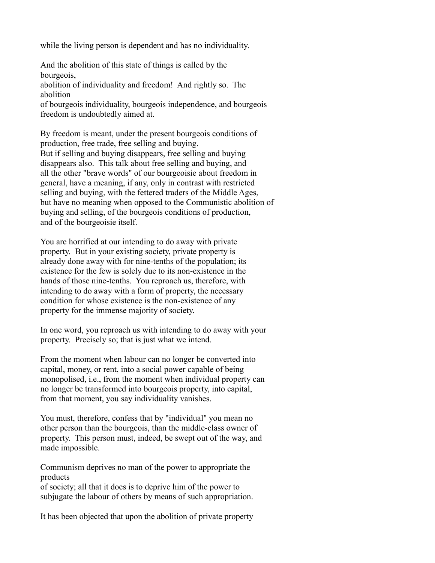while the living person is dependent and has no individuality.

And the abolition of this state of things is called by the bourgeois,

abolition of individuality and freedom! And rightly so. The abolition

of bourgeois individuality, bourgeois independence, and bourgeois freedom is undoubtedly aimed at.

By freedom is meant, under the present bourgeois conditions of production, free trade, free selling and buying. But if selling and buying disappears, free selling and buying disappears also. This talk about free selling and buying, and all the other "brave words" of our bourgeoisie about freedom in general, have a meaning, if any, only in contrast with restricted selling and buying, with the fettered traders of the Middle Ages, but have no meaning when opposed to the Communistic abolition of buying and selling, of the bourgeois conditions of production, and of the bourgeoisie itself.

You are horrified at our intending to do away with private property. But in your existing society, private property is already done away with for nine-tenths of the population; its existence for the few is solely due to its non-existence in the hands of those nine-tenths. You reproach us, therefore, with intending to do away with a form of property, the necessary condition for whose existence is the non-existence of any property for the immense majority of society.

In one word, you reproach us with intending to do away with your property. Precisely so; that is just what we intend.

From the moment when labour can no longer be converted into capital, money, or rent, into a social power capable of being monopolised, i.e., from the moment when individual property can no longer be transformed into bourgeois property, into capital, from that moment, you say individuality vanishes.

You must, therefore, confess that by "individual" you mean no other person than the bourgeois, than the middle-class owner of property. This person must, indeed, be swept out of the way, and made impossible.

Communism deprives no man of the power to appropriate the products

of society; all that it does is to deprive him of the power to subjugate the labour of others by means of such appropriation.

It has been objected that upon the abolition of private property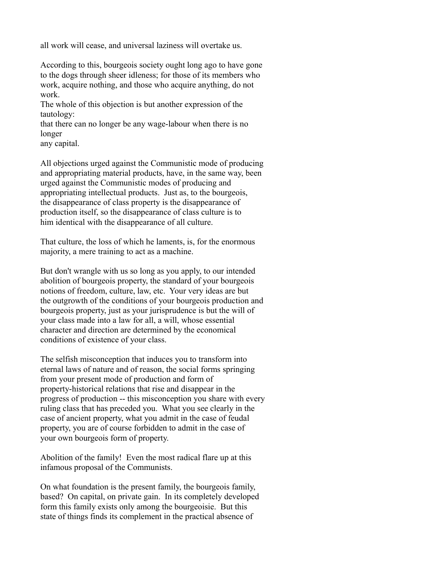all work will cease, and universal laziness will overtake us.

According to this, bourgeois society ought long ago to have gone to the dogs through sheer idleness; for those of its members who work, acquire nothing, and those who acquire anything, do not work.

The whole of this objection is but another expression of the tautology:

that there can no longer be any wage-labour when there is no longer

any capital.

All objections urged against the Communistic mode of producing and appropriating material products, have, in the same way, been urged against the Communistic modes of producing and appropriating intellectual products. Just as, to the bourgeois, the disappearance of class property is the disappearance of production itself, so the disappearance of class culture is to him identical with the disappearance of all culture.

That culture, the loss of which he laments, is, for the enormous majority, a mere training to act as a machine.

But don't wrangle with us so long as you apply, to our intended abolition of bourgeois property, the standard of your bourgeois notions of freedom, culture, law, etc. Your very ideas are but the outgrowth of the conditions of your bourgeois production and bourgeois property, just as your jurisprudence is but the will of your class made into a law for all, a will, whose essential character and direction are determined by the economical conditions of existence of your class.

The selfish misconception that induces you to transform into eternal laws of nature and of reason, the social forms springing from your present mode of production and form of property-historical relations that rise and disappear in the progress of production -- this misconception you share with every ruling class that has preceded you. What you see clearly in the case of ancient property, what you admit in the case of feudal property, you are of course forbidden to admit in the case of your own bourgeois form of property.

Abolition of the family! Even the most radical flare up at this infamous proposal of the Communists.

On what foundation is the present family, the bourgeois family, based? On capital, on private gain. In its completely developed form this family exists only among the bourgeoisie. But this state of things finds its complement in the practical absence of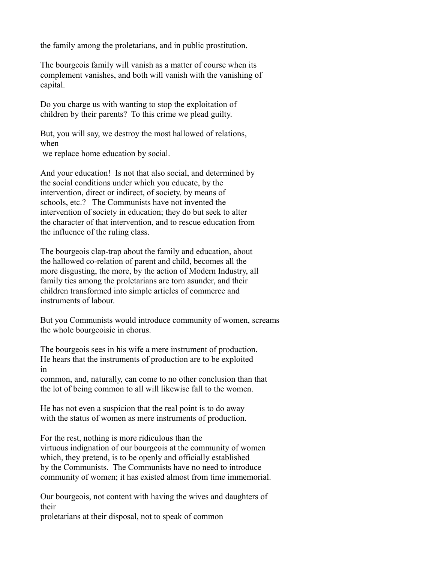the family among the proletarians, and in public prostitution.

The bourgeois family will vanish as a matter of course when its complement vanishes, and both will vanish with the vanishing of capital.

Do you charge us with wanting to stop the exploitation of children by their parents? To this crime we plead guilty.

But, you will say, we destroy the most hallowed of relations, when we replace home education by social.

And your education! Is not that also social, and determined by the social conditions under which you educate, by the intervention, direct or indirect, of society, by means of schools, etc.? The Communists have not invented the intervention of society in education; they do but seek to alter the character of that intervention, and to rescue education from the influence of the ruling class.

The bourgeois clap-trap about the family and education, about the hallowed co-relation of parent and child, becomes all the more disgusting, the more, by the action of Modern Industry, all family ties among the proletarians are torn asunder, and their children transformed into simple articles of commerce and instruments of labour.

But you Communists would introduce community of women, screams the whole bourgeoisie in chorus.

The bourgeois sees in his wife a mere instrument of production. He hears that the instruments of production are to be exploited in

common, and, naturally, can come to no other conclusion than that the lot of being common to all will likewise fall to the women.

He has not even a suspicion that the real point is to do away with the status of women as mere instruments of production.

For the rest, nothing is more ridiculous than the virtuous indignation of our bourgeois at the community of women which, they pretend, is to be openly and officially established by the Communists. The Communists have no need to introduce community of women; it has existed almost from time immemorial.

Our bourgeois, not content with having the wives and daughters of their

proletarians at their disposal, not to speak of common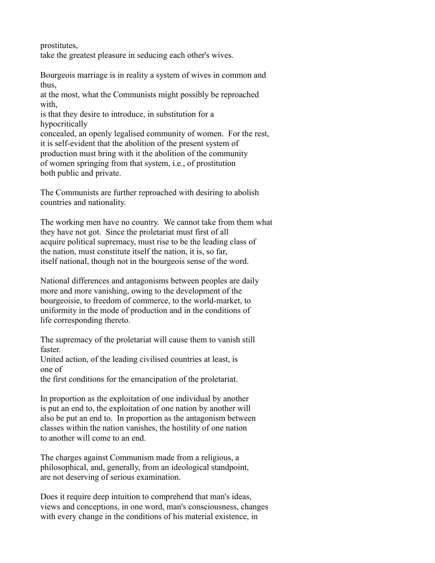prostitutes, take the greatest pleasure in seducing each other's wives.

Bourgeois marriage is in reality a system of wives in common and thus,

at the most, what the Communists might possibly be reproached with,

is that they desire to introduce, in substitution for a hypocritically

concealed, an openly legalised community of women. For the rest, it is self-evident that the abolition of the present system of production must bring with it the abolition of the community of women springing from that system, i.e., of prostitution both public and private.

The Communists are further reproached with desiring to abolish countries and nationality.

The working men have no country. We cannot take from them what they have not got. Since the proletariat must first of all acquire political supremacy, must rise to be the leading class of the nation, must constitute itself the nation, it is, so far, itself national, though not in the bourgeois sense of the word.

National differences and antagonisms between peoples are daily more and more vanishing, owing to the development of the bourgeoisie, to freedom of commerce, to the world-market, to uniformity in the mode of production and in the conditions of life corresponding thereto.

The supremacy of the proletariat will cause them to vanish still faster.

United action, of the leading civilised countries at least, is one of

the first conditions for the emancipation of the proletariat.

In proportion as the exploitation of one individual by another is put an end to, the exploitation of one nation by another will also be put an end to. In proportion as the antagonism between classes within the nation vanishes, the hostility of one nation to another will come to an end.

The charges against Communism made from a religious, a philosophical, and, generally, from an ideological standpoint, are not deserving of serious examination.

Does it require deep intuition to comprehend that man's ideas, views and conceptions, in one word, man's consciousness, changes with every change in the conditions of his material existence, in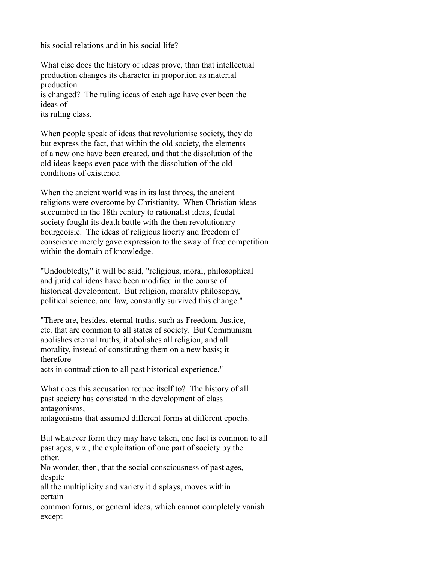his social relations and in his social life?

What else does the history of ideas prove, than that intellectual production changes its character in proportion as material production is changed? The ruling ideas of each age have ever been the ideas of

its ruling class.

When people speak of ideas that revolutionise society, they do but express the fact, that within the old society, the elements of a new one have been created, and that the dissolution of the old ideas keeps even pace with the dissolution of the old conditions of existence.

When the ancient world was in its last throes, the ancient religions were overcome by Christianity. When Christian ideas succumbed in the 18th century to rationalist ideas, feudal society fought its death battle with the then revolutionary bourgeoisie. The ideas of religious liberty and freedom of conscience merely gave expression to the sway of free competition within the domain of knowledge.

"Undoubtedly," it will be said, "religious, moral, philosophical and juridical ideas have been modified in the course of historical development. But religion, morality philosophy, political science, and law, constantly survived this change."

"There are, besides, eternal truths, such as Freedom, Justice, etc. that are common to all states of society. But Communism abolishes eternal truths, it abolishes all religion, and all morality, instead of constituting them on a new basis; it therefore

acts in contradiction to all past historical experience."

What does this accusation reduce itself to? The history of all past society has consisted in the development of class antagonisms,

antagonisms that assumed different forms at different epochs.

But whatever form they may have taken, one fact is common to all past ages, viz., the exploitation of one part of society by the other.

No wonder, then, that the social consciousness of past ages, despite

all the multiplicity and variety it displays, moves within certain

common forms, or general ideas, which cannot completely vanish except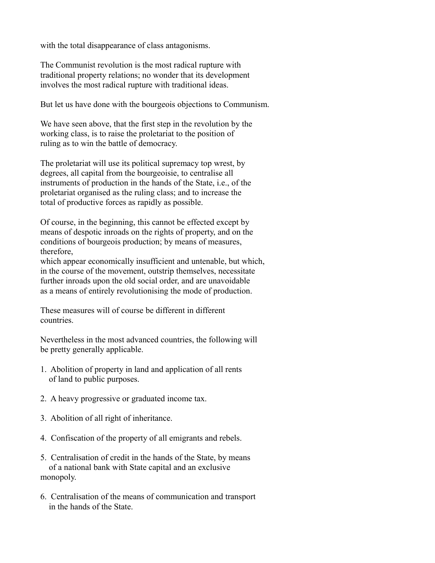with the total disappearance of class antagonisms.

The Communist revolution is the most radical rupture with traditional property relations; no wonder that its development involves the most radical rupture with traditional ideas.

But let us have done with the bourgeois objections to Communism.

We have seen above, that the first step in the revolution by the working class, is to raise the proletariat to the position of ruling as to win the battle of democracy.

The proletariat will use its political supremacy top wrest, by degrees, all capital from the bourgeoisie, to centralise all instruments of production in the hands of the State, i.e., of the proletariat organised as the ruling class; and to increase the total of productive forces as rapidly as possible.

Of course, in the beginning, this cannot be effected except by means of despotic inroads on the rights of property, and on the conditions of bourgeois production; by means of measures, therefore,

which appear economically insufficient and untenable, but which, in the course of the movement, outstrip themselves, necessitate further inroads upon the old social order, and are unavoidable as a means of entirely revolutionising the mode of production.

These measures will of course be different in different countries.

Nevertheless in the most advanced countries, the following will be pretty generally applicable.

- 1. Abolition of property in land and application of all rents of land to public purposes.
- 2. A heavy progressive or graduated income tax.
- 3. Abolition of all right of inheritance.
- 4. Confiscation of the property of all emigrants and rebels.
- 5. Centralisation of credit in the hands of the State, by means of a national bank with State capital and an exclusive monopoly.
- 6. Centralisation of the means of communication and transport in the hands of the State.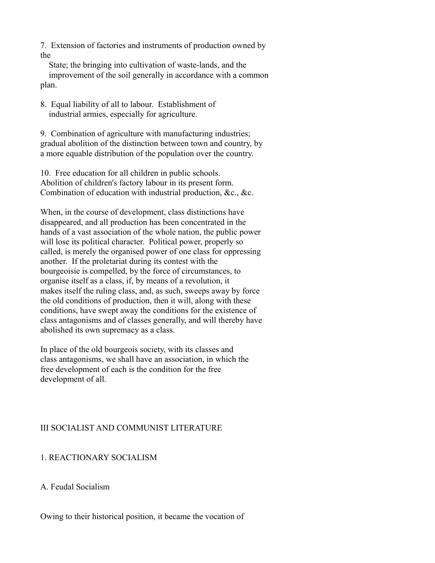7. Extension of factories and instruments of production owned by the

 State; the bringing into cultivation of waste-lands, and the improvement of the soil generally in accordance with a common plan.

8. Equal liability of all to labour. Establishment of industrial armies, especially for agriculture.

9. Combination of agriculture with manufacturing industries; gradual abolition of the distinction between town and country, by a more equable distribution of the population over the country.

10. Free education for all children in public schools. Abolition of children's factory labour in its present form. Combination of education with industrial production, &c., &c.

When, in the course of development, class distinctions have disappeared, and all production has been concentrated in the hands of a vast association of the whole nation, the public power will lose its political character. Political power, properly so called, is merely the organised power of one class for oppressing another. If the proletariat during its contest with the bourgeoisie is compelled, by the force of circumstances, to organise itself as a class, if, by means of a revolution, it makes itself the ruling class, and, as such, sweeps away by force the old conditions of production, then it will, along with these conditions, have swept away the conditions for the existence of class antagonisms and of classes generally, and will thereby have abolished its own supremacy as a class.

In place of the old bourgeois society, with its classes and class antagonisms, we shall have an association, in which the free development of each is the condition for the free development of all.

# III SOCIALIST AND COMMUNIST LITERATURE

## 1. REACTIONARY SOCIALISM

A. Feudal Socialism

Owing to their historical position, it became the vocation of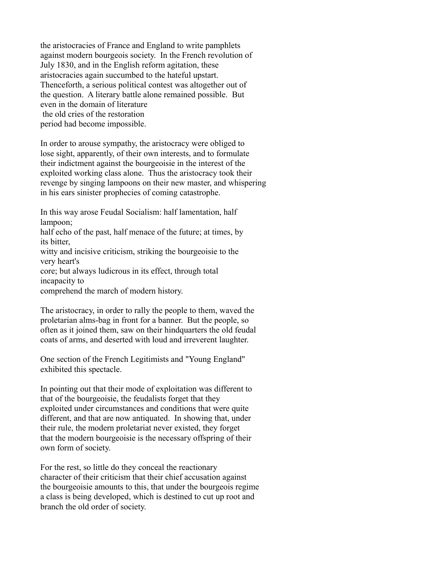the aristocracies of France and England to write pamphlets against modern bourgeois society. In the French revolution of July 1830, and in the English reform agitation, these aristocracies again succumbed to the hateful upstart. Thenceforth, a serious political contest was altogether out of the question. A literary battle alone remained possible. But even in the domain of literature the old cries of the restoration period had become impossible.

In order to arouse sympathy, the aristocracy were obliged to lose sight, apparently, of their own interests, and to formulate their indictment against the bourgeoisie in the interest of the exploited working class alone. Thus the aristocracy took their revenge by singing lampoons on their new master, and whispering in his ears sinister prophecies of coming catastrophe.

In this way arose Feudal Socialism: half lamentation, half lampoon;

half echo of the past, half menace of the future; at times, by its bitter,

witty and incisive criticism, striking the bourgeoisie to the very heart's

core; but always ludicrous in its effect, through total incapacity to

comprehend the march of modern history.

The aristocracy, in order to rally the people to them, waved the proletarian alms-bag in front for a banner. But the people, so often as it joined them, saw on their hindquarters the old feudal coats of arms, and deserted with loud and irreverent laughter.

One section of the French Legitimists and "Young England" exhibited this spectacle.

In pointing out that their mode of exploitation was different to that of the bourgeoisie, the feudalists forget that they exploited under circumstances and conditions that were quite different, and that are now antiquated. In showing that, under their rule, the modern proletariat never existed, they forget that the modern bourgeoisie is the necessary offspring of their own form of society.

For the rest, so little do they conceal the reactionary character of their criticism that their chief accusation against the bourgeoisie amounts to this, that under the bourgeois regime a class is being developed, which is destined to cut up root and branch the old order of society.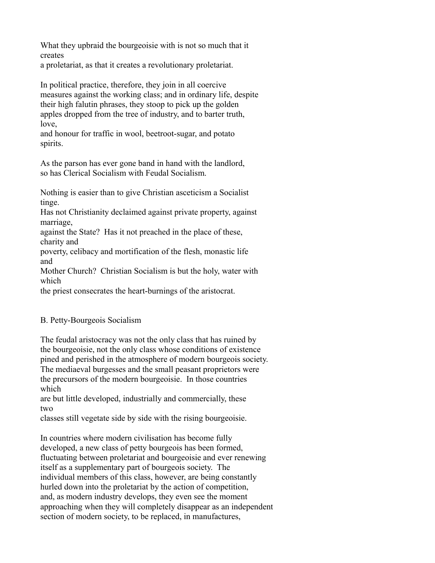What they upbraid the bourgeoisie with is not so much that it creates

a proletariat, as that it creates a revolutionary proletariat.

In political practice, therefore, they join in all coercive measures against the working class; and in ordinary life, despite their high falutin phrases, they stoop to pick up the golden apples dropped from the tree of industry, and to barter truth, love,

and honour for traffic in wool, beetroot-sugar, and potato spirits.

As the parson has ever gone band in hand with the landlord, so has Clerical Socialism with Feudal Socialism.

Nothing is easier than to give Christian asceticism a Socialist tinge.

Has not Christianity declaimed against private property, against marriage,

against the State? Has it not preached in the place of these, charity and

poverty, celibacy and mortification of the flesh, monastic life and

Mother Church? Christian Socialism is but the holy, water with which

the priest consecrates the heart-burnings of the aristocrat.

# B. Petty-Bourgeois Socialism

The feudal aristocracy was not the only class that has ruined by the bourgeoisie, not the only class whose conditions of existence pined and perished in the atmosphere of modern bourgeois society. The mediaeval burgesses and the small peasant proprietors were the precursors of the modern bourgeoisie. In those countries which

are but little developed, industrially and commercially, these two

classes still vegetate side by side with the rising bourgeoisie.

In countries where modern civilisation has become fully developed, a new class of petty bourgeois has been formed, fluctuating between proletariat and bourgeoisie and ever renewing itself as a supplementary part of bourgeois society. The individual members of this class, however, are being constantly hurled down into the proletariat by the action of competition, and, as modern industry develops, they even see the moment approaching when they will completely disappear as an independent section of modern society, to be replaced, in manufactures,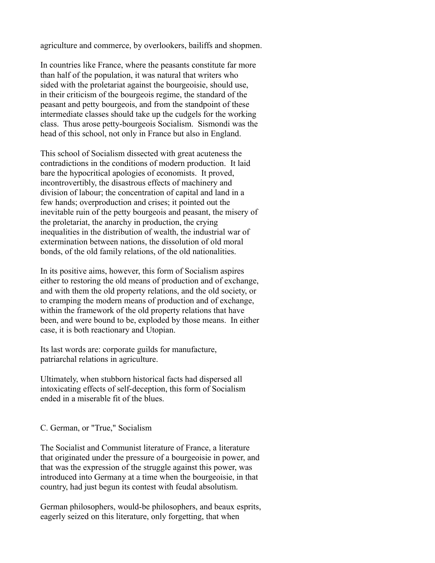agriculture and commerce, by overlookers, bailiffs and shopmen.

In countries like France, where the peasants constitute far more than half of the population, it was natural that writers who sided with the proletariat against the bourgeoisie, should use, in their criticism of the bourgeois regime, the standard of the peasant and petty bourgeois, and from the standpoint of these intermediate classes should take up the cudgels for the working class. Thus arose petty-bourgeois Socialism. Sismondi was the head of this school, not only in France but also in England.

This school of Socialism dissected with great acuteness the contradictions in the conditions of modern production. It laid bare the hypocritical apologies of economists. It proved, incontrovertibly, the disastrous effects of machinery and division of labour; the concentration of capital and land in a few hands; overproduction and crises; it pointed out the inevitable ruin of the petty bourgeois and peasant, the misery of the proletariat, the anarchy in production, the crying inequalities in the distribution of wealth, the industrial war of extermination between nations, the dissolution of old moral bonds, of the old family relations, of the old nationalities.

In its positive aims, however, this form of Socialism aspires either to restoring the old means of production and of exchange, and with them the old property relations, and the old society, or to cramping the modern means of production and of exchange, within the framework of the old property relations that have been, and were bound to be, exploded by those means. In either case, it is both reactionary and Utopian.

Its last words are: corporate guilds for manufacture, patriarchal relations in agriculture.

Ultimately, when stubborn historical facts had dispersed all intoxicating effects of self-deception, this form of Socialism ended in a miserable fit of the blues.

#### C. German, or "True," Socialism

The Socialist and Communist literature of France, a literature that originated under the pressure of a bourgeoisie in power, and that was the expression of the struggle against this power, was introduced into Germany at a time when the bourgeoisie, in that country, had just begun its contest with feudal absolutism.

German philosophers, would-be philosophers, and beaux esprits, eagerly seized on this literature, only forgetting, that when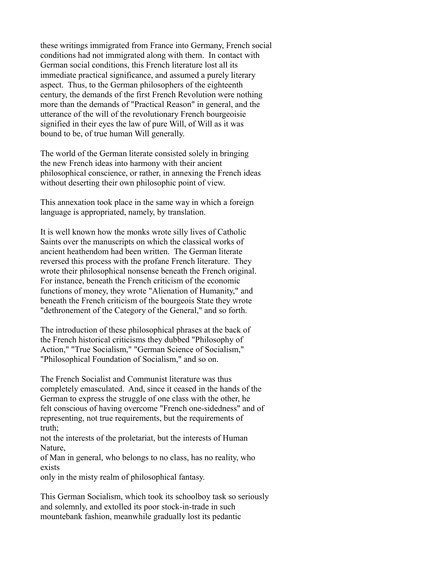these writings immigrated from France into Germany, French social conditions had not immigrated along with them. In contact with German social conditions, this French literature lost all its immediate practical significance, and assumed a purely literary aspect. Thus, to the German philosophers of the eighteenth century, the demands of the first French Revolution were nothing more than the demands of "Practical Reason" in general, and the utterance of the will of the revolutionary French bourgeoisie signified in their eyes the law of pure Will, of Will as it was bound to be, of true human Will generally.

The world of the German literate consisted solely in bringing the new French ideas into harmony with their ancient philosophical conscience, or rather, in annexing the French ideas without deserting their own philosophic point of view.

This annexation took place in the same way in which a foreign language is appropriated, namely, by translation.

It is well known how the monks wrote silly lives of Catholic Saints over the manuscripts on which the classical works of ancient heathendom had been written. The German literate reversed this process with the profane French literature. They wrote their philosophical nonsense beneath the French original. For instance, beneath the French criticism of the economic functions of money, they wrote "Alienation of Humanity," and beneath the French criticism of the bourgeois State they wrote "dethronement of the Category of the General," and so forth.

The introduction of these philosophical phrases at the back of the French historical criticisms they dubbed "Philosophy of Action," "True Socialism," "German Science of Socialism," "Philosophical Foundation of Socialism," and so on.

The French Socialist and Communist literature was thus completely emasculated. And, since it ceased in the hands of the German to express the struggle of one class with the other, he felt conscious of having overcome "French one-sidedness" and of representing, not true requirements, but the requirements of truth;

not the interests of the proletariat, but the interests of Human Nature,

of Man in general, who belongs to no class, has no reality, who exists

only in the misty realm of philosophical fantasy.

This German Socialism, which took its schoolboy task so seriously and solemnly, and extolled its poor stock-in-trade in such mountebank fashion, meanwhile gradually lost its pedantic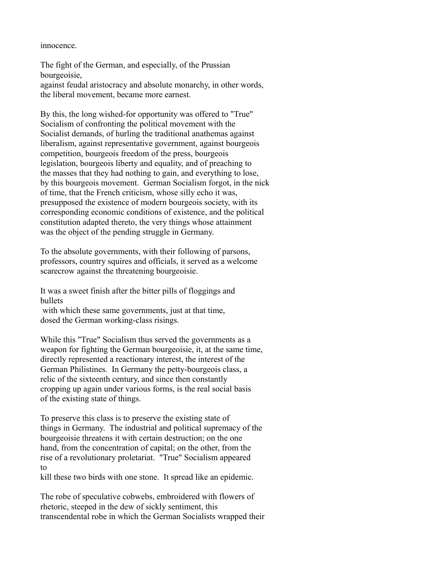#### innocence.

The fight of the German, and especially, of the Prussian bourgeoisie, against feudal aristocracy and absolute monarchy, in other words, the liberal movement, became more earnest.

By this, the long wished-for opportunity was offered to "True" Socialism of confronting the political movement with the Socialist demands, of hurling the traditional anathemas against liberalism, against representative government, against bourgeois competition, bourgeois freedom of the press, bourgeois legislation, bourgeois liberty and equality, and of preaching to the masses that they had nothing to gain, and everything to lose, by this bourgeois movement. German Socialism forgot, in the nick of time, that the French criticism, whose silly echo it was, presupposed the existence of modern bourgeois society, with its corresponding economic conditions of existence, and the political constitution adapted thereto, the very things whose attainment was the object of the pending struggle in Germany.

To the absolute governments, with their following of parsons, professors, country squires and officials, it served as a welcome scarecrow against the threatening bourgeoisie.

It was a sweet finish after the bitter pills of floggings and bullets

with which these same governments, just at that time, dosed the German working-class risings.

While this "True" Socialism thus served the governments as a weapon for fighting the German bourgeoisie, it, at the same time, directly represented a reactionary interest, the interest of the German Philistines. In Germany the petty-bourgeois class, a relic of the sixteenth century, and since then constantly cropping up again under various forms, is the real social basis of the existing state of things.

To preserve this class is to preserve the existing state of things in Germany. The industrial and political supremacy of the bourgeoisie threatens it with certain destruction; on the one hand, from the concentration of capital; on the other, from the rise of a revolutionary proletariat. "True" Socialism appeared to

kill these two birds with one stone. It spread like an epidemic.

The robe of speculative cobwebs, embroidered with flowers of rhetoric, steeped in the dew of sickly sentiment, this transcendental robe in which the German Socialists wrapped their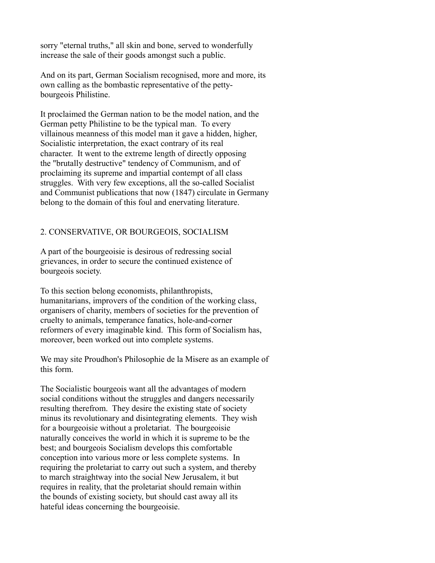sorry "eternal truths," all skin and bone, served to wonderfully increase the sale of their goods amongst such a public.

And on its part, German Socialism recognised, more and more, its own calling as the bombastic representative of the pettybourgeois Philistine.

It proclaimed the German nation to be the model nation, and the German petty Philistine to be the typical man. To every villainous meanness of this model man it gave a hidden, higher, Socialistic interpretation, the exact contrary of its real character. It went to the extreme length of directly opposing the "brutally destructive" tendency of Communism, and of proclaiming its supreme and impartial contempt of all class struggles. With very few exceptions, all the so-called Socialist and Communist publications that now (1847) circulate in Germany belong to the domain of this foul and enervating literature.

#### 2. CONSERVATIVE, OR BOURGEOIS, SOCIALISM

A part of the bourgeoisie is desirous of redressing social grievances, in order to secure the continued existence of bourgeois society.

To this section belong economists, philanthropists, humanitarians, improvers of the condition of the working class, organisers of charity, members of societies for the prevention of cruelty to animals, temperance fanatics, hole-and-corner reformers of every imaginable kind. This form of Socialism has, moreover, been worked out into complete systems.

We may site Proudhon's Philosophie de la Misere as an example of this form.

The Socialistic bourgeois want all the advantages of modern social conditions without the struggles and dangers necessarily resulting therefrom. They desire the existing state of society minus its revolutionary and disintegrating elements. They wish for a bourgeoisie without a proletariat. The bourgeoisie naturally conceives the world in which it is supreme to be the best; and bourgeois Socialism develops this comfortable conception into various more or less complete systems. In requiring the proletariat to carry out such a system, and thereby to march straightway into the social New Jerusalem, it but requires in reality, that the proletariat should remain within the bounds of existing society, but should cast away all its hateful ideas concerning the bourgeoisie.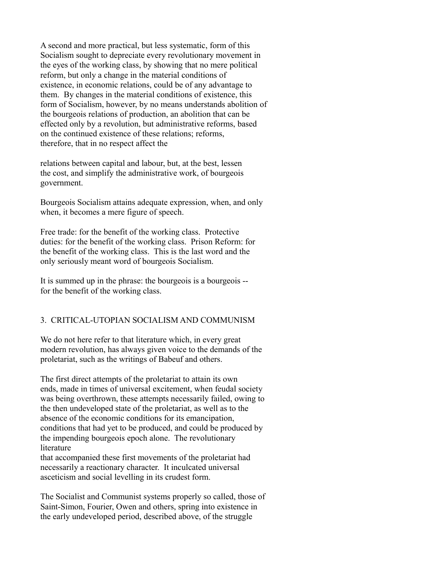A second and more practical, but less systematic, form of this Socialism sought to depreciate every revolutionary movement in the eyes of the working class, by showing that no mere political reform, but only a change in the material conditions of existence, in economic relations, could be of any advantage to them. By changes in the material conditions of existence, this form of Socialism, however, by no means understands abolition of the bourgeois relations of production, an abolition that can be effected only by a revolution, but administrative reforms, based on the continued existence of these relations; reforms, therefore, that in no respect affect the

relations between capital and labour, but, at the best, lessen the cost, and simplify the administrative work, of bourgeois government.

Bourgeois Socialism attains adequate expression, when, and only when, it becomes a mere figure of speech.

Free trade: for the benefit of the working class. Protective duties: for the benefit of the working class. Prison Reform: for the benefit of the working class. This is the last word and the only seriously meant word of bourgeois Socialism.

It is summed up in the phrase: the bourgeois is a bourgeois - for the benefit of the working class.

### 3. CRITICAL-UTOPIAN SOCIALISM AND COMMUNISM

We do not here refer to that literature which, in every great modern revolution, has always given voice to the demands of the proletariat, such as the writings of Babeuf and others.

The first direct attempts of the proletariat to attain its own ends, made in times of universal excitement, when feudal society was being overthrown, these attempts necessarily failed, owing to the then undeveloped state of the proletariat, as well as to the absence of the economic conditions for its emancipation, conditions that had yet to be produced, and could be produced by the impending bourgeois epoch alone. The revolutionary literature

that accompanied these first movements of the proletariat had necessarily a reactionary character. It inculcated universal asceticism and social levelling in its crudest form.

The Socialist and Communist systems properly so called, those of Saint-Simon, Fourier, Owen and others, spring into existence in the early undeveloped period, described above, of the struggle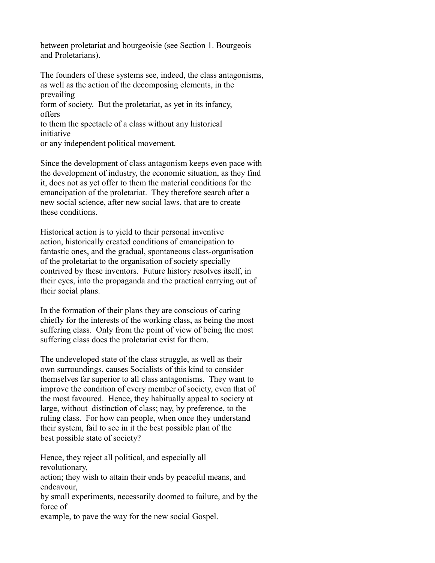between proletariat and bourgeoisie (see Section 1. Bourgeois and Proletarians).

The founders of these systems see, indeed, the class antagonisms, as well as the action of the decomposing elements, in the prevailing form of society. But the proletariat, as yet in its infancy, offers

to them the spectacle of a class without any historical initiative

or any independent political movement.

Since the development of class antagonism keeps even pace with the development of industry, the economic situation, as they find it, does not as yet offer to them the material conditions for the emancipation of the proletariat. They therefore search after a new social science, after new social laws, that are to create these conditions.

Historical action is to yield to their personal inventive action, historically created conditions of emancipation to fantastic ones, and the gradual, spontaneous class-organisation of the proletariat to the organisation of society specially contrived by these inventors. Future history resolves itself, in their eyes, into the propaganda and the practical carrying out of their social plans.

In the formation of their plans they are conscious of caring chiefly for the interests of the working class, as being the most suffering class. Only from the point of view of being the most suffering class does the proletariat exist for them.

The undeveloped state of the class struggle, as well as their own surroundings, causes Socialists of this kind to consider themselves far superior to all class antagonisms. They want to improve the condition of every member of society, even that of the most favoured. Hence, they habitually appeal to society at large, without distinction of class; nay, by preference, to the ruling class. For how can people, when once they understand their system, fail to see in it the best possible plan of the best possible state of society?

Hence, they reject all political, and especially all revolutionary, action; they wish to attain their ends by peaceful means, and

endeavour,

by small experiments, necessarily doomed to failure, and by the force of

example, to pave the way for the new social Gospel.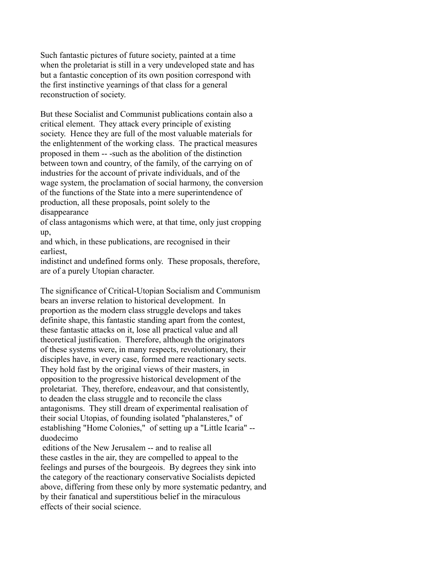Such fantastic pictures of future society, painted at a time when the proletariat is still in a very undeveloped state and has but a fantastic conception of its own position correspond with the first instinctive yearnings of that class for a general reconstruction of society.

But these Socialist and Communist publications contain also a critical element. They attack every principle of existing society. Hence they are full of the most valuable materials for the enlightenment of the working class. The practical measures proposed in them -- -such as the abolition of the distinction between town and country, of the family, of the carrying on of industries for the account of private individuals, and of the wage system, the proclamation of social harmony, the conversion of the functions of the State into a mere superintendence of production, all these proposals, point solely to the disappearance

of class antagonisms which were, at that time, only just cropping up,

and which, in these publications, are recognised in their earliest,

indistinct and undefined forms only. These proposals, therefore, are of a purely Utopian character.

The significance of Critical-Utopian Socialism and Communism bears an inverse relation to historical development. In proportion as the modern class struggle develops and takes definite shape, this fantastic standing apart from the contest, these fantastic attacks on it, lose all practical value and all theoretical justification. Therefore, although the originators of these systems were, in many respects, revolutionary, their disciples have, in every case, formed mere reactionary sects. They hold fast by the original views of their masters, in opposition to the progressive historical development of the proletariat. They, therefore, endeavour, and that consistently, to deaden the class struggle and to reconcile the class antagonisms. They still dream of experimental realisation of their social Utopias, of founding isolated "phalansteres," of establishing "Home Colonies," of setting up a "Little Icaria" - duodecimo

 editions of the New Jerusalem -- and to realise all these castles in the air, they are compelled to appeal to the feelings and purses of the bourgeois. By degrees they sink into the category of the reactionary conservative Socialists depicted above, differing from these only by more systematic pedantry, and by their fanatical and superstitious belief in the miraculous effects of their social science.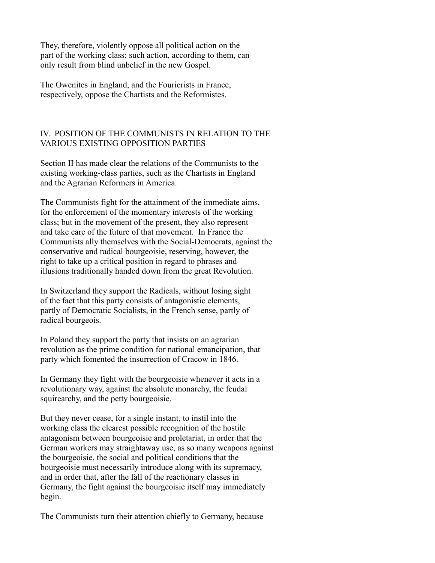They, therefore, violently oppose all political action on the part of the working class; such action, according to them, can only result from blind unbelief in the new Gospel.

The Owenites in England, and the Fourierists in France, respectively, oppose the Chartists and the Reformistes.

# IV. POSITION OF THE COMMUNISTS IN RELATION TO THE VARIOUS EXISTING OPPOSITION PARTIES

Section II has made clear the relations of the Communists to the existing working-class parties, such as the Chartists in England and the Agrarian Reformers in America.

The Communists fight for the attainment of the immediate aims, for the enforcement of the momentary interests of the working class; but in the movement of the present, they also represent and take care of the future of that movement. In France the Communists ally themselves with the Social-Democrats, against the conservative and radical bourgeoisie, reserving, however, the right to take up a critical position in regard to phrases and illusions traditionally handed down from the great Revolution.

In Switzerland they support the Radicals, without losing sight of the fact that this party consists of antagonistic elements, partly of Democratic Socialists, in the French sense, partly of radical bourgeois.

In Poland they support the party that insists on an agrarian revolution as the prime condition for national emancipation, that party which fomented the insurrection of Cracow in 1846.

In Germany they fight with the bourgeoisie whenever it acts in a revolutionary way, against the absolute monarchy, the feudal squirearchy, and the petty bourgeoisie.

But they never cease, for a single instant, to instil into the working class the clearest possible recognition of the hostile antagonism between bourgeoisie and proletariat, in order that the German workers may straightaway use, as so many weapons against the bourgeoisie, the social and political conditions that the bourgeoisie must necessarily introduce along with its supremacy, and in order that, after the fall of the reactionary classes in Germany, the fight against the bourgeoisie itself may immediately begin.

The Communists turn their attention chiefly to Germany, because